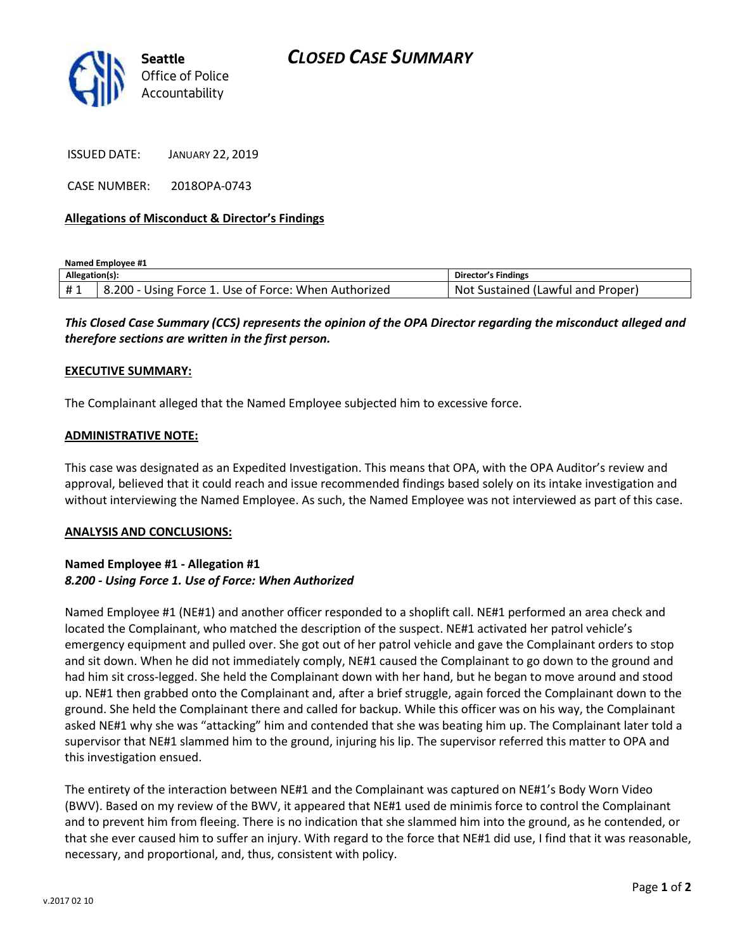



ISSUED DATE: JANUARY 22, 2019

CASE NUMBER: 2018OPA-0743

## **Allegations of Misconduct & Director's Findings**

**Named Employee #1**

| Allegation(s): |                                                             | <b>Director's Findings</b>                 |
|----------------|-------------------------------------------------------------|--------------------------------------------|
| #1             | - Using Force 1. Use of Force: When Authorized<br>$8.200 -$ | Proper<br>. Sustained (Lawful and '<br>Not |

*This Closed Case Summary (CCS) represents the opinion of the OPA Director regarding the misconduct alleged and therefore sections are written in the first person.* 

#### **EXECUTIVE SUMMARY:**

The Complainant alleged that the Named Employee subjected him to excessive force.

### **ADMINISTRATIVE NOTE:**

This case was designated as an Expedited Investigation. This means that OPA, with the OPA Auditor's review and approval, believed that it could reach and issue recommended findings based solely on its intake investigation and without interviewing the Named Employee. As such, the Named Employee was not interviewed as part of this case.

#### **ANALYSIS AND CONCLUSIONS:**

# **Named Employee #1 - Allegation #1** *8.200 - Using Force 1. Use of Force: When Authorized*

Named Employee #1 (NE#1) and another officer responded to a shoplift call. NE#1 performed an area check and located the Complainant, who matched the description of the suspect. NE#1 activated her patrol vehicle's emergency equipment and pulled over. She got out of her patrol vehicle and gave the Complainant orders to stop and sit down. When he did not immediately comply, NE#1 caused the Complainant to go down to the ground and had him sit cross-legged. She held the Complainant down with her hand, but he began to move around and stood up. NE#1 then grabbed onto the Complainant and, after a brief struggle, again forced the Complainant down to the ground. She held the Complainant there and called for backup. While this officer was on his way, the Complainant asked NE#1 why she was "attacking" him and contended that she was beating him up. The Complainant later told a supervisor that NE#1 slammed him to the ground, injuring his lip. The supervisor referred this matter to OPA and this investigation ensued.

The entirety of the interaction between NE#1 and the Complainant was captured on NE#1's Body Worn Video (BWV). Based on my review of the BWV, it appeared that NE#1 used de minimis force to control the Complainant and to prevent him from fleeing. There is no indication that she slammed him into the ground, as he contended, or that she ever caused him to suffer an injury. With regard to the force that NE#1 did use, I find that it was reasonable, necessary, and proportional, and, thus, consistent with policy.